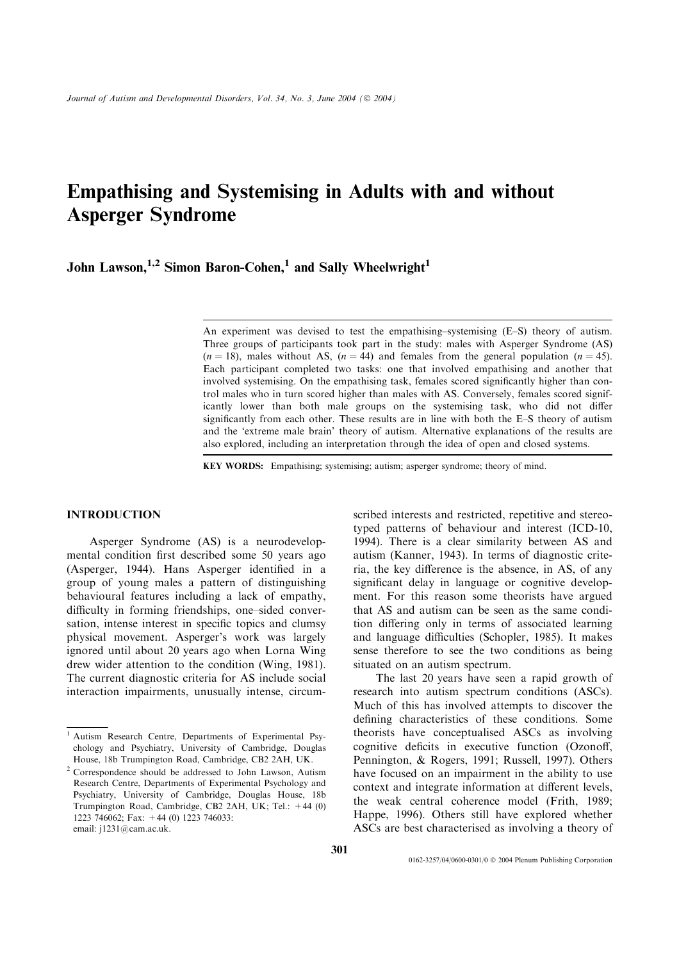# Empathising and Systemising in Adults with and without Asperger Syndrome

John Lawson,<sup>1,2</sup> Simon Baron-Cohen,<sup>1</sup> and Sally Wheelwright<sup>1</sup>

An experiment was devised to test the empathising–systemising (E–S) theory of autism. Three groups of participants took part in the study: males with Asperger Syndrome (AS)  $(n = 18)$ , males without AS,  $(n = 44)$  and females from the general population  $(n = 45)$ . Each participant completed two tasks: one that involved empathising and another that involved systemising. On the empathising task, females scored significantly higher than control males who in turn scored higher than males with AS. Conversely, females scored significantly lower than both male groups on the systemising task, who did not differ significantly from each other. These results are in line with both the E–S theory of autism and the 'extreme male brain' theory of autism. Alternative explanations of the results are also explored, including an interpretation through the idea of open and closed systems.

KEY WORDS: Empathising; systemising; autism; asperger syndrome; theory of mind.

#### INTRODUCTION

Asperger Syndrome (AS) is a neurodevelopmental condition first described some 50 years ago (Asperger, 1944). Hans Asperger identified in a group of young males a pattern of distinguishing behavioural features including a lack of empathy, difficulty in forming friendships, one–sided conversation, intense interest in specific topics and clumsy physical movement. Asperger's work was largely ignored until about 20 years ago when Lorna Wing drew wider attention to the condition (Wing, 1981). The current diagnostic criteria for AS include social interaction impairments, unusually intense, circumscribed interests and restricted, repetitive and stereotyped patterns of behaviour and interest (ICD-10, 1994). There is a clear similarity between AS and autism (Kanner, 1943). In terms of diagnostic criteria, the key difference is the absence, in AS, of any significant delay in language or cognitive development. For this reason some theorists have argued that AS and autism can be seen as the same condition differing only in terms of associated learning and language difficulties (Schopler, 1985). It makes sense therefore to see the two conditions as being situated on an autism spectrum.

The last 20 years have seen a rapid growth of research into autism spectrum conditions (ASCs). Much of this has involved attempts to discover the defining characteristics of these conditions. Some theorists have conceptualised ASCs as involving cognitive deficits in executive function (Ozonoff, Pennington, & Rogers, 1991; Russell, 1997). Others have focused on an impairment in the ability to use context and integrate information at different levels, the weak central coherence model (Frith, 1989; Happe, 1996). Others still have explored whether ASCs are best characterised as involving a theory of

<sup>1</sup> Autism Research Centre, Departments of Experimental Psychology and Psychiatry, University of Cambridge, Douglas House, 18b Trumpington Road, Cambridge, CB2 2AH, UK.

<sup>2</sup> Correspondence should be addressed to John Lawson, Autism Research Centre, Departments of Experimental Psychology and Psychiatry, University of Cambridge, Douglas House, 18b Trumpington Road, Cambridge, CB2 2AH, UK; Tel.: +44 (0) 1223 746062; Fax: +44 (0) 1223 746033: email: j1231@cam.ac.uk.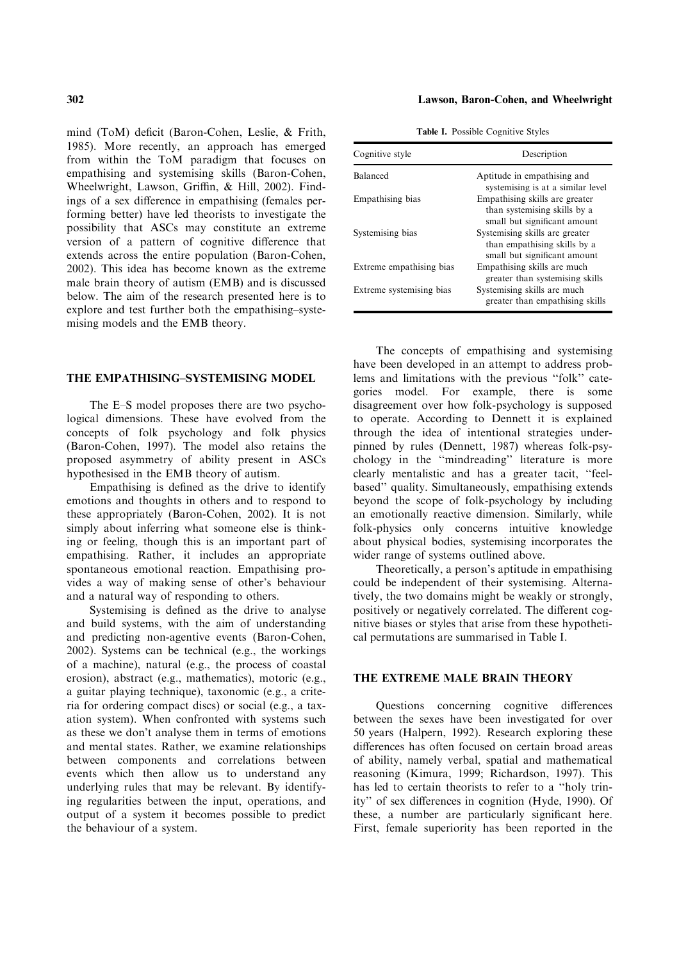mind (ToM) deficit (Baron-Cohen, Leslie, & Frith, 1985). More recently, an approach has emerged from within the ToM paradigm that focuses on empathising and systemising skills (Baron-Cohen, Wheelwright, Lawson, Griffin, & Hill, 2002). Findings of a sex difference in empathising (females performing better) have led theorists to investigate the possibility that ASCs may constitute an extreme version of a pattern of cognitive difference that extends across the entire population (Baron-Cohen, 2002). This idea has become known as the extreme male brain theory of autism (EMB) and is discussed below. The aim of the research presented here is to explore and test further both the empathising–systemising models and the EMB theory.

#### THE EMPATHISING–SYSTEMISING MODEL

The E–S model proposes there are two psychological dimensions. These have evolved from the concepts of folk psychology and folk physics (Baron-Cohen, 1997). The model also retains the proposed asymmetry of ability present in ASCs hypothesised in the EMB theory of autism.

Empathising is defined as the drive to identify emotions and thoughts in others and to respond to these appropriately (Baron-Cohen, 2002). It is not simply about inferring what someone else is thinking or feeling, though this is an important part of empathising. Rather, it includes an appropriate spontaneous emotional reaction. Empathising provides a way of making sense of other's behaviour and a natural way of responding to others.

Systemising is defined as the drive to analyse and build systems, with the aim of understanding and predicting non-agentive events (Baron-Cohen, 2002). Systems can be technical (e.g., the workings of a machine), natural (e.g., the process of coastal erosion), abstract (e.g., mathematics), motoric (e.g., a guitar playing technique), taxonomic (e.g., a criteria for ordering compact discs) or social (e.g., a taxation system). When confronted with systems such as these we don't analyse them in terms of emotions and mental states. Rather, we examine relationships between components and correlations between events which then allow us to understand any underlying rules that may be relevant. By identifying regularities between the input, operations, and output of a system it becomes possible to predict the behaviour of a system.

# 302 Lawson, Baron-Cohen, and Wheelwright

Table I. Possible Cognitive Styles

| Cognitive style          | Description                                                                                    |  |  |
|--------------------------|------------------------------------------------------------------------------------------------|--|--|
| <b>Balanced</b>          | Aptitude in empathising and<br>systemising is at a similar level                               |  |  |
| Empathising bias         | Empathising skills are greater<br>than systemising skills by a<br>small but significant amount |  |  |
| Systemising bias         | Systemising skills are greater<br>than empathising skills by a<br>small but significant amount |  |  |
| Extreme empathising bias | Empathising skills are much<br>greater than systemising skills                                 |  |  |
| Extreme systemising bias | Systemising skills are much<br>greater than empathising skills                                 |  |  |

The concepts of empathising and systemising have been developed in an attempt to address problems and limitations with the previous ''folk'' categories model. For example, there is some disagreement over how folk-psychology is supposed to operate. According to Dennett it is explained through the idea of intentional strategies underpinned by rules (Dennett, 1987) whereas folk-psychology in the ''mindreading'' literature is more clearly mentalistic and has a greater tacit, ''feelbased'' quality. Simultaneously, empathising extends beyond the scope of folk-psychology by including an emotionally reactive dimension. Similarly, while folk-physics only concerns intuitive knowledge about physical bodies, systemising incorporates the wider range of systems outlined above.

Theoretically, a person's aptitude in empathising could be independent of their systemising. Alternatively, the two domains might be weakly or strongly, positively or negatively correlated. The different cognitive biases or styles that arise from these hypothetical permutations are summarised in Table I.

#### THE EXTREME MALE BRAIN THEORY

Questions concerning cognitive differences between the sexes have been investigated for over 50 years (Halpern, 1992). Research exploring these differences has often focused on certain broad areas of ability, namely verbal, spatial and mathematical reasoning (Kimura, 1999; Richardson, 1997). This has led to certain theorists to refer to a ''holy trinity'' of sex differences in cognition (Hyde, 1990). Of these, a number are particularly significant here. First, female superiority has been reported in the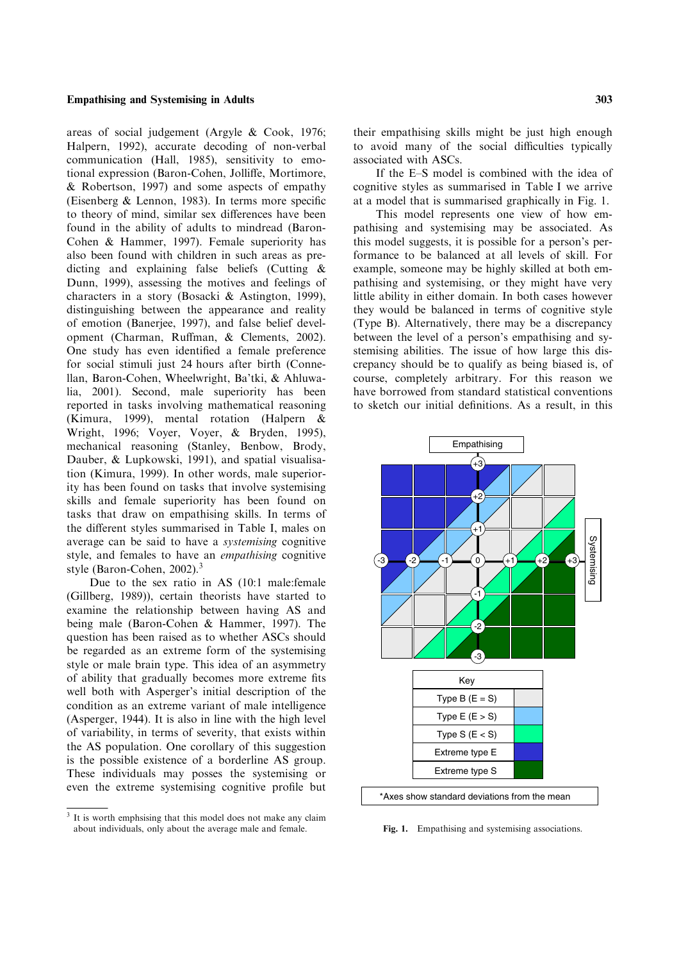areas of social judgement (Argyle & Cook, 1976; Halpern, 1992), accurate decoding of non-verbal communication (Hall, 1985), sensitivity to emotional expression (Baron-Cohen, Jolliffe, Mortimore, & Robertson, 1997) and some aspects of empathy (Eisenberg & Lennon, 1983). In terms more specific to theory of mind, similar sex differences have been found in the ability of adults to mindread (Baron-Cohen & Hammer, 1997). Female superiority has also been found with children in such areas as predicting and explaining false beliefs (Cutting & Dunn, 1999), assessing the motives and feelings of characters in a story (Bosacki & Astington, 1999), distinguishing between the appearance and reality of emotion (Banerjee, 1997), and false belief development (Charman, Ruffman, & Clements, 2002). One study has even identified a female preference for social stimuli just 24 hours after birth (Connellan, Baron-Cohen, Wheelwright, Ba'tki, & Ahluwalia, 2001). Second, male superiority has been reported in tasks involving mathematical reasoning (Kimura, 1999), mental rotation (Halpern & Wright, 1996; Voyer, Voyer, & Bryden, 1995), mechanical reasoning (Stanley, Benbow, Brody, Dauber, & Lupkowski, 1991), and spatial visualisation (Kimura, 1999). In other words, male superiority has been found on tasks that involve systemising skills and female superiority has been found on tasks that draw on empathising skills. In terms of the different styles summarised in Table I, males on average can be said to have a systemising cognitive style, and females to have an empathising cognitive style (Baron-Cohen, 2002).<sup>3</sup>

Due to the sex ratio in AS (10:1 male:female (Gillberg, 1989)), certain theorists have started to examine the relationship between having AS and being male (Baron-Cohen & Hammer, 1997). The question has been raised as to whether ASCs should be regarded as an extreme form of the systemising style or male brain type. This idea of an asymmetry of ability that gradually becomes more extreme fits well both with Asperger's initial description of the condition as an extreme variant of male intelligence (Asperger, 1944). It is also in line with the high level of variability, in terms of severity, that exists within the AS population. One corollary of this suggestion is the possible existence of a borderline AS group. These individuals may posses the systemising or even the extreme systemising cognitive profile but

their empathising skills might be just high enough to avoid many of the social difficulties typically associated with ASCs.

If the E–S model is combined with the idea of cognitive styles as summarised in Table I we arrive at a model that is summarised graphically in Fig. 1.

This model represents one view of how empathising and systemising may be associated. As this model suggests, it is possible for a person's performance to be balanced at all levels of skill. For example, someone may be highly skilled at both empathising and systemising, or they might have very little ability in either domain. In both cases however they would be balanced in terms of cognitive style (Type B). Alternatively, there may be a discrepancy between the level of a person's empathising and systemising abilities. The issue of how large this discrepancy should be to qualify as being biased is, of course, completely arbitrary. For this reason we have borrowed from standard statistical conventions to sketch our initial definitions. As a result, in this



Fig. 1. Empathising and systemising associations.

<sup>&</sup>lt;sup>3</sup> It is worth emphsising that this model does not make any claim about individuals, only about the average male and female.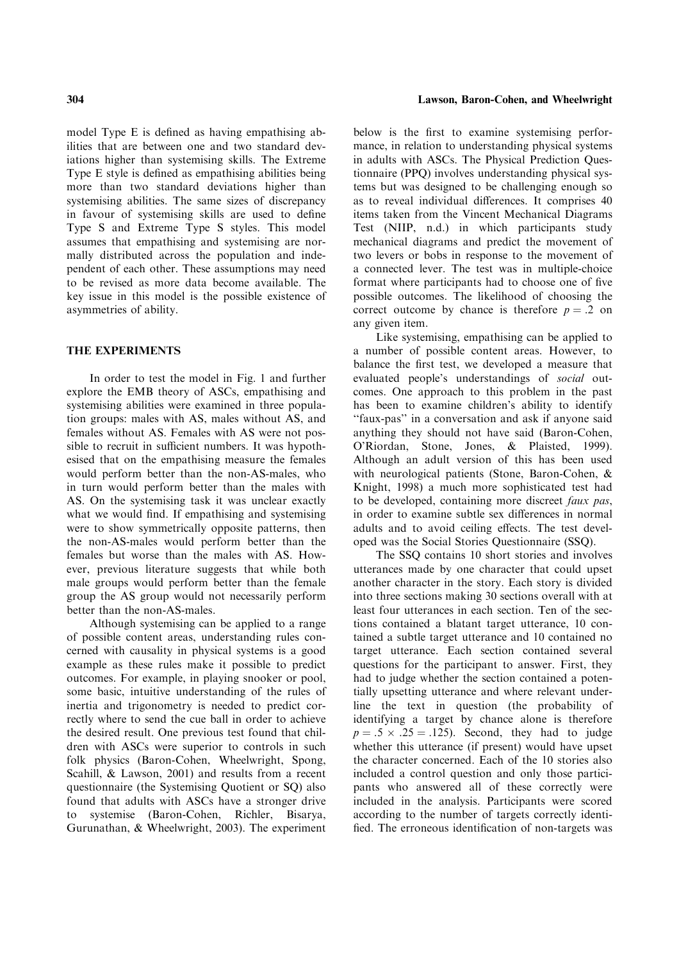model Type E is defined as having empathising abilities that are between one and two standard deviations higher than systemising skills. The Extreme Type E style is defined as empathising abilities being more than two standard deviations higher than systemising abilities. The same sizes of discrepancy in favour of systemising skills are used to define Type S and Extreme Type S styles. This model assumes that empathising and systemising are normally distributed across the population and independent of each other. These assumptions may need to be revised as more data become available. The key issue in this model is the possible existence of asymmetries of ability.

# THE EXPERIMENTS

In order to test the model in Fig. 1 and further explore the EMB theory of ASCs, empathising and systemising abilities were examined in three population groups: males with AS, males without AS, and females without AS. Females with AS were not possible to recruit in sufficient numbers. It was hypothesised that on the empathising measure the females would perform better than the non-AS-males, who in turn would perform better than the males with AS. On the systemising task it was unclear exactly what we would find. If empathising and systemising were to show symmetrically opposite patterns, then the non-AS-males would perform better than the females but worse than the males with AS. However, previous literature suggests that while both male groups would perform better than the female group the AS group would not necessarily perform better than the non-AS-males.

Although systemising can be applied to a range of possible content areas, understanding rules concerned with causality in physical systems is a good example as these rules make it possible to predict outcomes. For example, in playing snooker or pool, some basic, intuitive understanding of the rules of inertia and trigonometry is needed to predict correctly where to send the cue ball in order to achieve the desired result. One previous test found that children with ASCs were superior to controls in such folk physics (Baron-Cohen, Wheelwright, Spong, Scahill, & Lawson, 2001) and results from a recent questionnaire (the Systemising Quotient or SQ) also found that adults with ASCs have a stronger drive to systemise (Baron-Cohen, Richler, Bisarya, Gurunathan, & Wheelwright, 2003). The experiment

below is the first to examine systemising performance, in relation to understanding physical systems in adults with ASCs. The Physical Prediction Questionnaire (PPQ) involves understanding physical systems but was designed to be challenging enough so as to reveal individual differences. It comprises 40 items taken from the Vincent Mechanical Diagrams Test (NIIP, n.d.) in which participants study mechanical diagrams and predict the movement of two levers or bobs in response to the movement of a connected lever. The test was in multiple-choice format where participants had to choose one of five possible outcomes. The likelihood of choosing the correct outcome by chance is therefore  $p = .2$  on any given item.

Like systemising, empathising can be applied to a number of possible content areas. However, to balance the first test, we developed a measure that evaluated people's understandings of social outcomes. One approach to this problem in the past has been to examine children's ability to identify ''faux-pas'' in a conversation and ask if anyone said anything they should not have said (Baron-Cohen, O'Riordan, Stone, Jones, & Plaisted, 1999). Although an adult version of this has been used with neurological patients (Stone, Baron-Cohen, & Knight, 1998) a much more sophisticated test had to be developed, containing more discreet faux pas, in order to examine subtle sex differences in normal adults and to avoid ceiling effects. The test developed was the Social Stories Questionnaire (SSQ).

The SSQ contains 10 short stories and involves utterances made by one character that could upset another character in the story. Each story is divided into three sections making 30 sections overall with at least four utterances in each section. Ten of the sections contained a blatant target utterance, 10 contained a subtle target utterance and 10 contained no target utterance. Each section contained several questions for the participant to answer. First, they had to judge whether the section contained a potentially upsetting utterance and where relevant underline the text in question (the probability of identifying a target by chance alone is therefore  $p = .5 \times .25 = .125$ . Second, they had to judge whether this utterance (if present) would have upset the character concerned. Each of the 10 stories also included a control question and only those participants who answered all of these correctly were included in the analysis. Participants were scored according to the number of targets correctly identified. The erroneous identification of non-targets was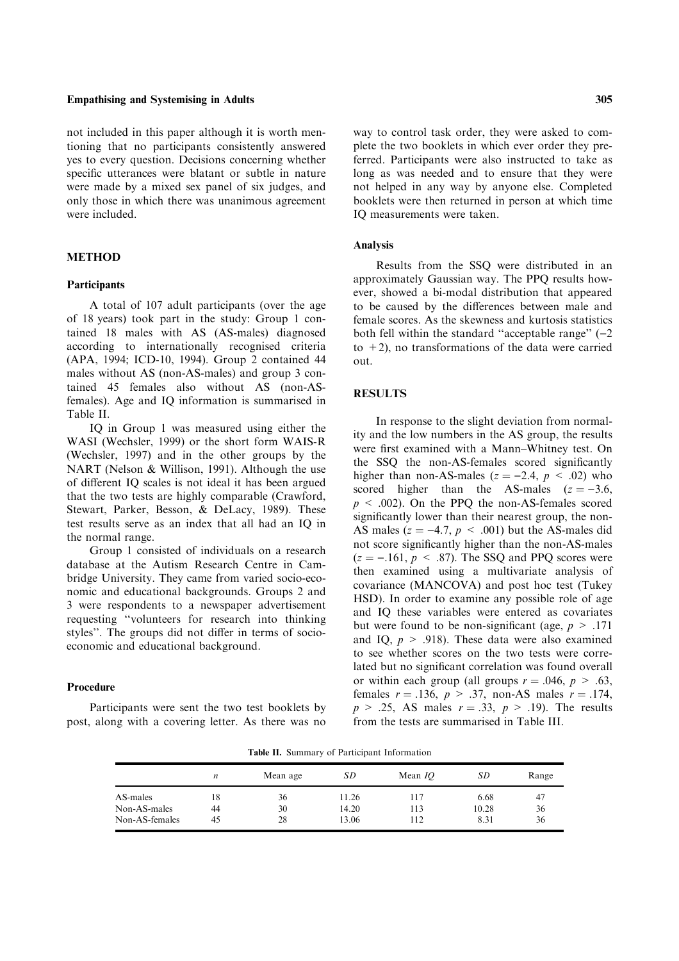not included in this paper although it is worth mentioning that no participants consistently answered yes to every question. Decisions concerning whether specific utterances were blatant or subtle in nature were made by a mixed sex panel of six judges, and only those in which there was unanimous agreement were included.

# **METHOD**

#### **Participants**

A total of 107 adult participants (over the age of 18 years) took part in the study: Group 1 contained 18 males with AS (AS-males) diagnosed according to internationally recognised criteria (APA, 1994; ICD-10, 1994). Group 2 contained 44 males without AS (non-AS-males) and group 3 contained 45 females also without AS (non-ASfemales). Age and IQ information is summarised in Table II.

IQ in Group 1 was measured using either the WASI (Wechsler, 1999) or the short form WAIS-R (Wechsler, 1997) and in the other groups by the NART (Nelson & Willison, 1991). Although the use of different IQ scales is not ideal it has been argued that the two tests are highly comparable (Crawford, Stewart, Parker, Besson, & DeLacy, 1989). These test results serve as an index that all had an IQ in the normal range.

Group 1 consisted of individuals on a research database at the Autism Research Centre in Cambridge University. They came from varied socio-economic and educational backgrounds. Groups 2 and 3 were respondents to a newspaper advertisement requesting ''volunteers for research into thinking styles''. The groups did not differ in terms of socioeconomic and educational background.

### Procedure

Participants were sent the two test booklets by post, along with a covering letter. As there was no way to control task order, they were asked to complete the two booklets in which ever order they preferred. Participants were also instructed to take as long as was needed and to ensure that they were not helped in any way by anyone else. Completed booklets were then returned in person at which time IQ measurements were taken.

### Analysis

Results from the SSQ were distributed in an approximately Gaussian way. The PPQ results however, showed a bi-modal distribution that appeared to be caused by the differences between male and female scores. As the skewness and kurtosis statistics both fell within the standard "acceptable range"  $(-2)$ to  $+2$ ), no transformations of the data were carried out.

# **RESULTS**

In response to the slight deviation from normality and the low numbers in the AS group, the results were first examined with a Mann–Whitney test. On the SSQ the non-AS-females scored significantly higher than non-AS-males ( $z = -2.4$ ,  $p < .02$ ) who scored higher than the AS-males  $(z = -3.6,$  $p \leq .002$ ). On the PPQ the non-AS-females scored significantly lower than their nearest group, the non-AS males ( $z = -4.7$ ,  $p < .001$ ) but the AS-males did not score significantly higher than the non-AS-males  $(z = -.161, p < .87)$ . The SSQ and PPQ scores were then examined using a multivariate analysis of covariance (MANCOVA) and post hoc test (Tukey HSD). In order to examine any possible role of age and IQ these variables were entered as covariates but were found to be non-significant (age,  $p > .171$ ) and IQ,  $p > .918$ ). These data were also examined to see whether scores on the two tests were correlated but no significant correlation was found overall or within each group (all groups  $r = .046$ ,  $p > .63$ , females  $r = .136$ ,  $p > .37$ , non-AS males  $r = .174$ ,  $p > .25$ , AS males  $r = .33$ ,  $p > .19$ ). The results from the tests are summarised in Table III.

Table II. Summary of Participant Information

|                | n  | Mean age | SD    | Mean IO | SD    | Range |
|----------------|----|----------|-------|---------|-------|-------|
| AS-males       | 18 | 36       | 11.26 | 117     | 6.68  | -47   |
| Non-AS-males   | 44 | 30       | 14.20 | 113     | 10.28 | 36    |
| Non-AS-females | 45 | 28       | 13.06 | 112     | 8.31  | 36    |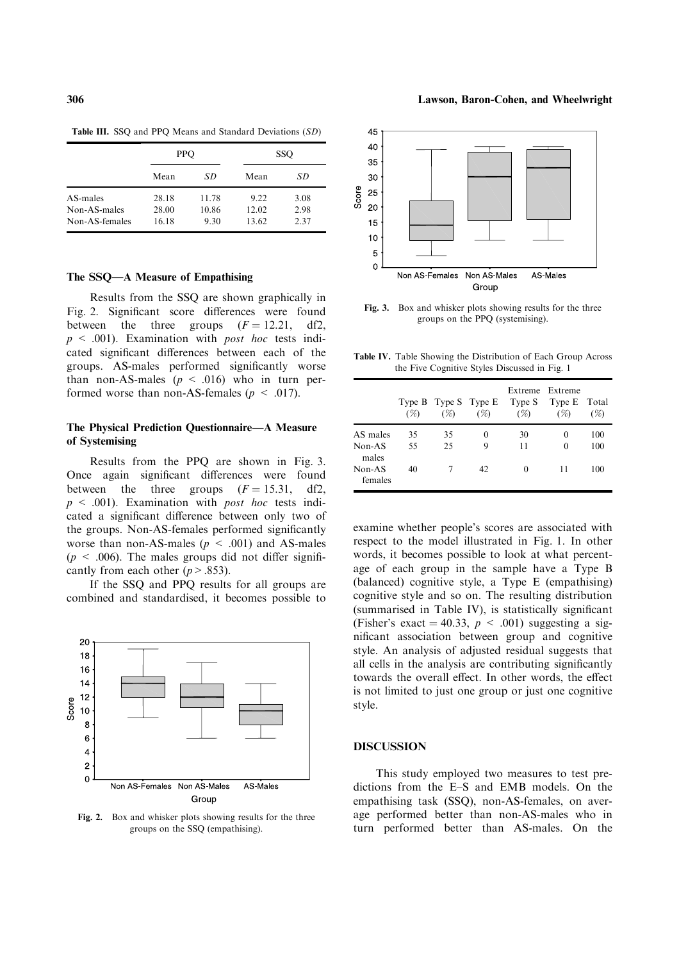|                          | <b>PPO</b>     |                |               | SSO          |  |  |
|--------------------------|----------------|----------------|---------------|--------------|--|--|
|                          | Mean           | SD             | Mean          | SD           |  |  |
| AS-males<br>Non-AS-males | 28.18<br>28.00 | 11.78<br>10.86 | 9.22<br>12.02 | 3.08<br>2.98 |  |  |
| Non-AS-females           | 16.18          | 9.30           | 13.62         | 2.37         |  |  |

Table III. SSQ and PPQ Means and Standard Deviations (SD)

#### The SSQ—A Measure of Empathising

Results from the SSQ are shown graphically in Fig. 2. Significant score differences were found between the three groups  $(F = 12.21, \text{ df2},$  $p \leq .001$ ). Examination with *post hoc* tests indicated significant differences between each of the groups. AS-males performed significantly worse than non-AS-males  $(p \le .016)$  who in turn performed worse than non-AS-females ( $p < .017$ ).

# The Physical Prediction Questionnaire—A Measure of Systemising

Results from the PPQ are shown in Fig. 3. Once again significant differences were found between the three groups  $(F = 15.31, \text{ df2},$  $p \leq .001$ ). Examination with *post hoc* tests indicated a significant difference between only two of the groups. Non-AS-females performed significantly worse than non-AS-males ( $p < .001$ ) and AS-males  $(p \le 0.006)$ . The males groups did not differ significantly from each other  $(p > .853)$ .

If the SSQ and PPQ results for all groups are combined and standardised, it becomes possible to



Fig. 2. Box and whisker plots showing results for the three groups on the SSQ (empathising).



Fig. 3. Box and whisker plots showing results for the three groups on the PPQ (systemising).

Table IV. Table Showing the Distribution of Each Group Across the Five Cognitive Styles Discussed in Fig. 1

|                   | $(\%)$ | Type B Type S Type E<br>$(\%)$ | $(\%)$   | Type S<br>$(\%)$ | Extreme Extreme<br>Type E Total<br>$(\%)$ | $(\%)$ |
|-------------------|--------|--------------------------------|----------|------------------|-------------------------------------------|--------|
| AS males          | 35     | 35                             | $\Omega$ | 30               | 0                                         | 100    |
| Non-AS<br>males   | 55     | 25                             | 9        | 11               | 0                                         | 100    |
| Non-AS<br>females | 40     |                                | 42       |                  |                                           | 100    |

examine whether people's scores are associated with respect to the model illustrated in Fig. 1. In other words, it becomes possible to look at what percentage of each group in the sample have a Type B (balanced) cognitive style, a Type E (empathising) cognitive style and so on. The resulting distribution (summarised in Table IV), is statistically significant (Fisher's exact = 40.33,  $p < .001$ ) suggesting a significant association between group and cognitive style. An analysis of adjusted residual suggests that all cells in the analysis are contributing significantly towards the overall effect. In other words, the effect is not limited to just one group or just one cognitive style.

### **DISCUSSION**

This study employed two measures to test predictions from the E–S and EMB models. On the empathising task (SSQ), non-AS-females, on average performed better than non-AS-males who in turn performed better than AS-males. On the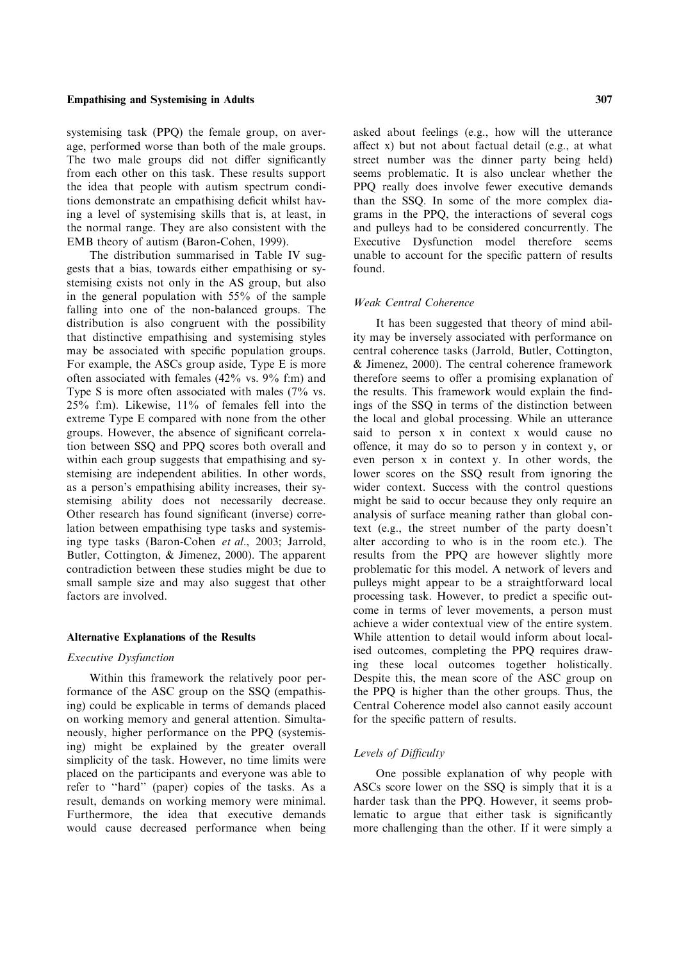systemising task (PPQ) the female group, on average, performed worse than both of the male groups. The two male groups did not differ significantly from each other on this task. These results support the idea that people with autism spectrum conditions demonstrate an empathising deficit whilst having a level of systemising skills that is, at least, in the normal range. They are also consistent with the EMB theory of autism (Baron-Cohen, 1999).

The distribution summarised in Table IV suggests that a bias, towards either empathising or systemising exists not only in the AS group, but also in the general population with 55% of the sample falling into one of the non-balanced groups. The distribution is also congruent with the possibility that distinctive empathising and systemising styles may be associated with specific population groups. For example, the ASCs group aside, Type E is more often associated with females  $(42\%$  vs. 9% f:m) and Type S is more often associated with males (7% vs. 25% f:m). Likewise, 11% of females fell into the extreme Type E compared with none from the other groups. However, the absence of significant correlation between SSQ and PPQ scores both overall and within each group suggests that empathising and systemising are independent abilities. In other words, as a person's empathising ability increases, their systemising ability does not necessarily decrease. Other research has found significant (inverse) correlation between empathising type tasks and systemising type tasks (Baron-Cohen et al., 2003; Jarrold, Butler, Cottington, & Jimenez, 2000). The apparent contradiction between these studies might be due to small sample size and may also suggest that other factors are involved.

#### Alternative Explanations of the Results

# Executive Dysfunction

Within this framework the relatively poor performance of the ASC group on the SSQ (empathising) could be explicable in terms of demands placed on working memory and general attention. Simultaneously, higher performance on the PPQ (systemising) might be explained by the greater overall simplicity of the task. However, no time limits were placed on the participants and everyone was able to refer to ''hard'' (paper) copies of the tasks. As a result, demands on working memory were minimal. Furthermore, the idea that executive demands would cause decreased performance when being asked about feelings (e.g., how will the utterance affect x) but not about factual detail (e.g., at what street number was the dinner party being held) seems problematic. It is also unclear whether the PPQ really does involve fewer executive demands than the SSQ. In some of the more complex diagrams in the PPQ, the interactions of several cogs and pulleys had to be considered concurrently. The Executive Dysfunction model therefore seems unable to account for the specific pattern of results found.

# Weak Central Coherence

It has been suggested that theory of mind ability may be inversely associated with performance on central coherence tasks (Jarrold, Butler, Cottington, & Jimenez, 2000). The central coherence framework therefore seems to offer a promising explanation of the results. This framework would explain the findings of the SSQ in terms of the distinction between the local and global processing. While an utterance said to person x in context x would cause no offence, it may do so to person y in context y, or even person x in context y. In other words, the lower scores on the SSQ result from ignoring the wider context. Success with the control questions might be said to occur because they only require an analysis of surface meaning rather than global context (e.g., the street number of the party doesn't alter according to who is in the room etc.). The results from the PPQ are however slightly more problematic for this model. A network of levers and pulleys might appear to be a straightforward local processing task. However, to predict a specific outcome in terms of lever movements, a person must achieve a wider contextual view of the entire system. While attention to detail would inform about localised outcomes, completing the PPQ requires drawing these local outcomes together holistically. Despite this, the mean score of the ASC group on the PPQ is higher than the other groups. Thus, the Central Coherence model also cannot easily account for the specific pattern of results.

#### Levels of Difficulty

One possible explanation of why people with ASCs score lower on the SSQ is simply that it is a harder task than the PPQ. However, it seems problematic to argue that either task is significantly more challenging than the other. If it were simply a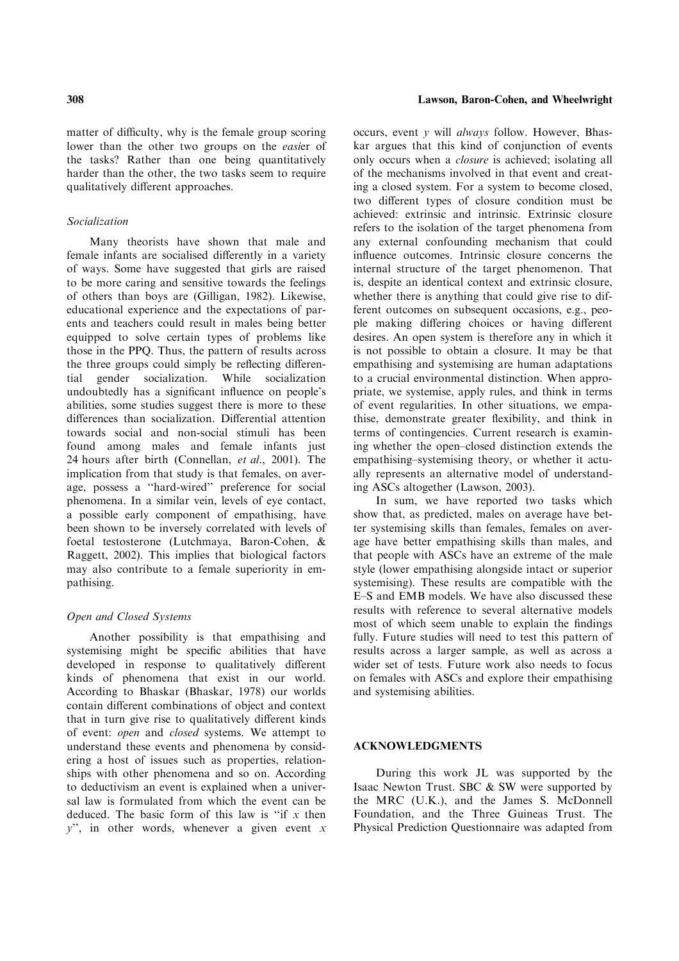matter of difficulty, why is the female group scoring lower than the other two groups on the easier of the tasks? Rather than one being quantitatively harder than the other, the two tasks seem to require qualitatively different approaches.

# Socialization

Many theorists have shown that male and female infants are socialised differently in a variety of ways. Some have suggested that girls are raised to be more caring and sensitive towards the feelings of others than boys are (Gilligan, 1982). Likewise, educational experience and the expectations of parents and teachers could result in males being better equipped to solve certain types of problems like those in the PPQ. Thus, the pattern of results across the three groups could simply be reflecting differential gender socialization. While socialization undoubtedly has a significant influence on people's abilities, some studies suggest there is more to these differences than socialization. Differential attention towards social and non-social stimuli has been found among males and female infants just 24 hours after birth (Connellan, et al., 2001). The implication from that study is that females, on average, possess a ''hard-wired'' preference for social phenomena. In a similar vein, levels of eye contact, a possible early component of empathising, have been shown to be inversely correlated with levels of foetal testosterone (Lutchmaya, Baron-Cohen, & Raggett, 2002). This implies that biological factors may also contribute to a female superiority in empathising.

#### Open and Closed Systems

Another possibility is that empathising and systemising might be specific abilities that have developed in response to qualitatively different kinds of phenomena that exist in our world. According to Bhaskar (Bhaskar, 1978) our worlds contain different combinations of object and context that in turn give rise to qualitatively different kinds of event: open and closed systems. We attempt to understand these events and phenomena by considering a host of issues such as properties, relationships with other phenomena and so on. According to deductivism an event is explained when a universal law is formulated from which the event can be deduced. The basic form of this law is "if  $x$  then  $y''$ , in other words, whenever a given event x

# 308 Lawson, Baron-Cohen, and Wheelwright

occurs, event  $v$  will *always* follow. However, Bhaskar argues that this kind of conjunction of events only occurs when a closure is achieved; isolating all of the mechanisms involved in that event and creating a closed system. For a system to become closed, two different types of closure condition must be achieved: extrinsic and intrinsic. Extrinsic closure refers to the isolation of the target phenomena from any external confounding mechanism that could influence outcomes. Intrinsic closure concerns the internal structure of the target phenomenon. That is, despite an identical context and extrinsic closure, whether there is anything that could give rise to different outcomes on subsequent occasions, e.g., people making differing choices or having different desires. An open system is therefore any in which it is not possible to obtain a closure. It may be that empathising and systemising are human adaptations to a crucial environmental distinction. When appropriate, we systemise, apply rules, and think in terms of event regularities. In other situations, we empathise, demonstrate greater flexibility, and think in terms of contingencies. Current research is examining whether the open–closed distinction extends the empathising–systemising theory, or whether it actually represents an alternative model of understanding ASCs altogether (Lawson, 2003).

In sum, we have reported two tasks which show that, as predicted, males on average have better systemising skills than females, females on average have better empathising skills than males, and that people with ASCs have an extreme of the male style (lower empathising alongside intact or superior systemising). These results are compatible with the E–S and EMB models. We have also discussed these results with reference to several alternative models most of which seem unable to explain the findings fully. Future studies will need to test this pattern of results across a larger sample, as well as across a wider set of tests. Future work also needs to focus on females with ASCs and explore their empathising and systemising abilities.

### ACKNOWLEDGMENTS

During this work JL was supported by the Isaac Newton Trust. SBC & SW were supported by the MRC (U.K.), and the James S. McDonnell Foundation, and the Three Guineas Trust. The Physical Prediction Questionnaire was adapted from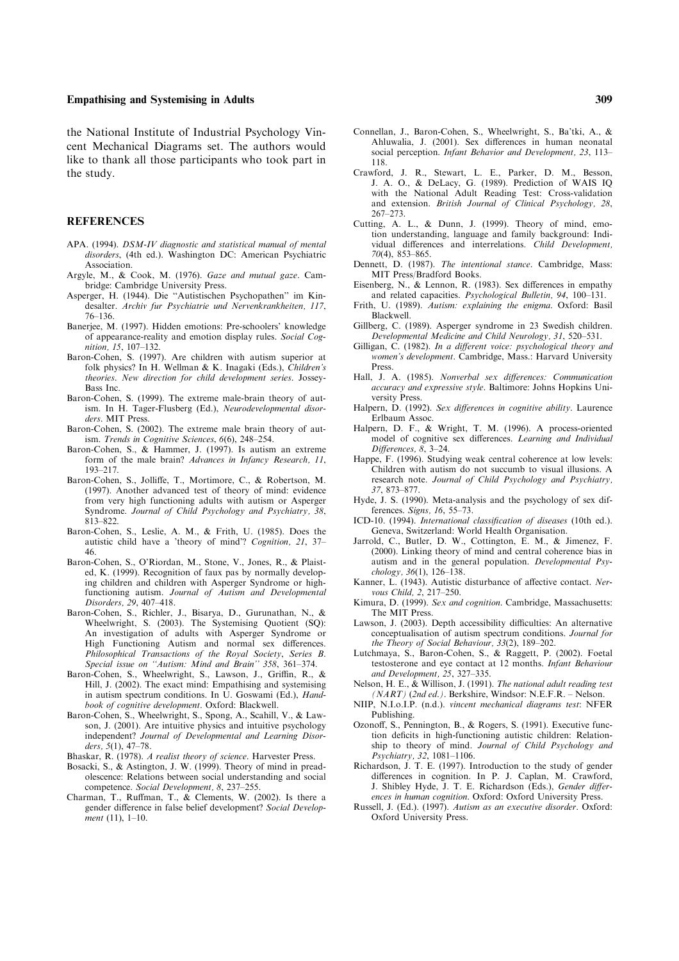the National Institute of Industrial Psychology Vincent Mechanical Diagrams set. The authors would like to thank all those participants who took part in the study.

# **REFERENCES**

- APA. (1994). DSM-IV diagnostic and statistical manual of mental disorders, (4th ed.). Washington DC: American Psychiatric Association.
- Argyle, M., & Cook, M. (1976). Gaze and mutual gaze. Cambridge: Cambridge University Press.
- Asperger, H. (1944). Die ''Autistischen Psychopathen'' im Kindesalter. Archiv fur Psychiatrie und Nervenkrankheiten, 117, 76–136.
- Banerjee, M. (1997). Hidden emotions: Pre-schoolers' knowledge of appearance-reality and emotion display rules. Social Cognition, 15, 107–132.
- Baron-Cohen, S. (1997). Are children with autism superior at folk physics? In H. Wellman & K. Inagaki (Eds.), Children's theories. New direction for child development series. Jossey-Bass Inc.
- Baron-Cohen, S. (1999). The extreme male-brain theory of autism. In H. Tager-Flusberg (Ed.), Neurodevelopmental disorders. MIT Press.
- Baron-Cohen, S. (2002). The extreme male brain theory of autism. Trends in Cognitive Sciences, 6(6), 248–254.
- Baron-Cohen, S., & Hammer, J. (1997). Is autism an extreme form of the male brain? Advances in Infancy Research, 11, 193–217.
- Baron-Cohen, S., Jolliffe, T., Mortimore, C., & Robertson, M. (1997). Another advanced test of theory of mind: evidence from very high functioning adults with autism or Asperger Syndrome. Journal of Child Psychology and Psychiatry, 38, 813–822.
- Baron-Cohen, S., Leslie, A. M., & Frith, U. (1985). Does the autistic child have a 'theory of mind'? Cognition, 21, 37– 46.
- Baron-Cohen, S., O'Riordan, M., Stone, V., Jones, R., & Plaisted, K. (1999). Recognition of faux pas by normally developing children and children with Asperger Syndrome or highfunctioning autism. Journal of Autism and Developmental Disorders, 29, 407–418.
- Baron-Cohen, S., Richler, J., Bisarya, D., Gurunathan, N., & Wheelwright, S. (2003). The Systemising Quotient (SQ): An investigation of adults with Asperger Syndrome or High Functioning Autism and normal sex differences. Philosophical Transactions of the Royal Society, Series B. Special issue on ''Autism: Mind and Brain'' 358, 361–374.
- Baron-Cohen, S., Wheelwright, S., Lawson, J., Griffin, R., & Hill, J. (2002). The exact mind: Empathising and systemising in autism spectrum conditions. In U. Goswami (Ed.), Handbook of cognitive development. Oxford: Blackwell.
- Baron-Cohen, S., Wheelwright, S., Spong, A., Scahill, V., & Lawson, J. (2001). Are intuitive physics and intuitive psychology independent? Journal of Developmental and Learning Disorders, 5(1), 47–78.

Bhaskar, R. (1978). A realist theory of science. Harvester Press.

- Bosacki, S., & Astington, J. W. (1999). Theory of mind in preadolescence: Relations between social understanding and social competence. Social Development, 8, 237–255.
- Charman, T., Ruffman, T.,  $\&$  Clements, W. (2002). Is there a gender difference in false belief development? Social Development (11), 1-10.
- Connellan, J., Baron-Cohen, S., Wheelwright, S., Ba'tki, A., & Ahluwalia, J. (2001). Sex differences in human neonatal social perception. Infant Behavior and Development, 23, 113-118.
- Crawford, J. R., Stewart, L. E., Parker, D. M., Besson, J. A. O., & DeLacy, G. (1989). Prediction of WAIS IQ with the National Adult Reading Test: Cross-validation and extension. British Journal of Clinical Psychology, 28, 267–273.
- Cutting, A. L., & Dunn, J. (1999). Theory of mind, emotion understanding, language and family background: Individual differences and interrelations. Child Development, 70(4), 853–865.
- Dennett, D. (1987). The intentional stance. Cambridge, Mass: MIT Press/Bradford Books.
- Eisenberg, N., & Lennon, R. (1983). Sex differences in empathy and related capacities. Psychological Bulletin, 94, 100–131.
- Frith, U. (1989). Autism: explaining the enigma. Oxford: Basil Blackwell.
- Gillberg, C. (1989). Asperger syndrome in 23 Swedish children. Developmental Medicine and Child Neurology, 31, 520–531.
- Gilligan, C. (1982). In a different voice: psychological theory and women's development. Cambridge, Mass.: Harvard University Press.
- Hall, J. A. (1985). Nonverbal sex differences: Communication accuracy and expressive style. Baltimore: Johns Hopkins University Press.
- Halpern, D. (1992). Sex differences in cognitive ability. Laurence Erlbaum Assoc.
- Halpern, D. F., & Wright, T. M. (1996). A process-oriented model of cognitive sex differences. Learning and Individual Differences, 8, 3–24.
- Happe, F. (1996). Studying weak central coherence at low levels: Children with autism do not succumb to visual illusions. A research note. Journal of Child Psychology and Psychiatry, 37, 873–877.
- Hyde, J. S. (1990). Meta-analysis and the psychology of sex differences. Signs, 16, 55–73.
- ICD-10. (1994). International classification of diseases (10th ed.). Geneva, Switzerland: World Health Organisation.
- Jarrold, C., Butler, D. W., Cottington, E. M., & Jimenez, F. (2000). Linking theory of mind and central coherence bias in autism and in the general population. Developmental Psychology, 36(1), 126–138.
- Kanner, L. (1943). Autistic disturbance of affective contact. Nervous Child, 2, 217–250.
- Kimura, D. (1999). Sex and cognition. Cambridge, Massachusetts: The MIT Press.
- Lawson, J. (2003). Depth accessibility difficulties: An alternative conceptualisation of autism spectrum conditions. Journal for the Theory of Social Behaviour, 33(2), 189–202.
- Lutchmaya, S., Baron-Cohen, S., & Raggett, P. (2002). Foetal testosterone and eye contact at 12 months. Infant Behaviour and Development, 25, 327–335.
- Nelson, H. E., & Willison, J. (1991). The national adult reading test (NART) (2nd ed.). Berkshire, Windsor: N.E.F.R. – Nelson.
- NIIP, N.I.o.I.P. (n.d.). vincent mechanical diagrams test: NFER Publishing.
- Ozonoff, S., Pennington, B., & Rogers, S. (1991). Executive function deficits in high-functioning autistic children: Relationship to theory of mind. Journal of Child Psychology and Psychiatry, 32, 1081–1106.
- Richardson, J. T. E. (1997). Introduction to the study of gender differences in cognition. In P. J. Caplan, M. Crawford, J. Shibley Hyde, J. T. E. Richardson (Eds.), Gender differences in human cognition. Oxford: Oxford University Press.
- Russell, J. (Ed.). (1997). Autism as an executive disorder. Oxford: Oxford University Press.